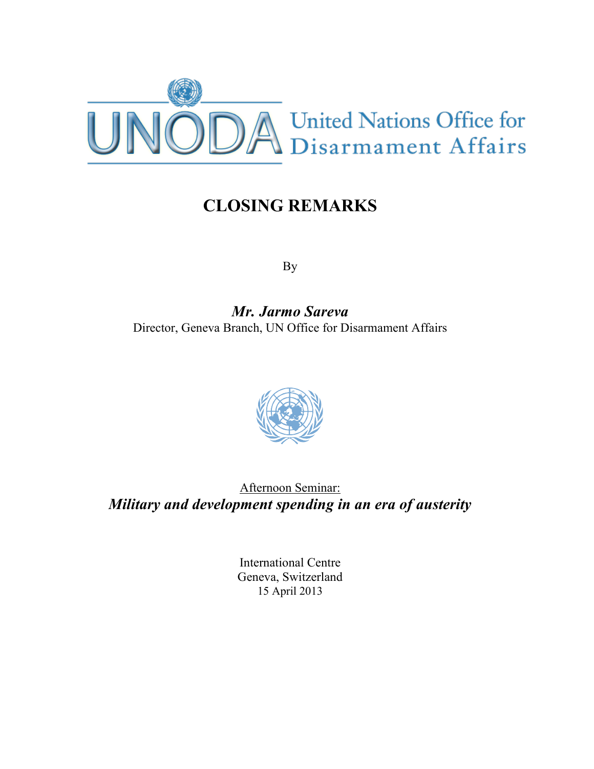

## **CLOSING REMARKS**

By

*Mr. Jarmo Sareva* Director, Geneva Branch, UN Office for Disarmament Affairs



Afternoon Seminar: *Military and development spending in an era of austerity*

> International Centre Geneva, Switzerland 15 April 2013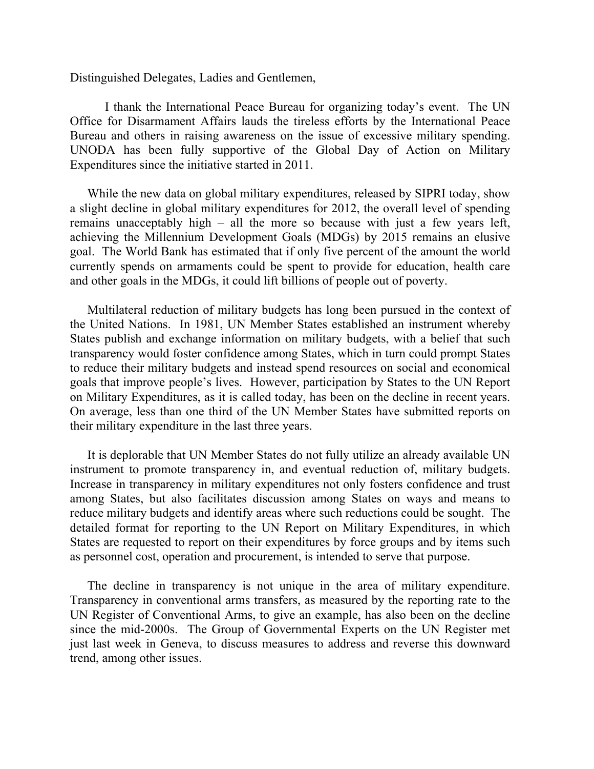Distinguished Delegates, Ladies and Gentlemen,

I thank the International Peace Bureau for organizing today's event. The UN Office for Disarmament Affairs lauds the tireless efforts by the International Peace Bureau and others in raising awareness on the issue of excessive military spending. UNODA has been fully supportive of the Global Day of Action on Military Expenditures since the initiative started in 2011.

While the new data on global military expenditures, released by SIPRI today, show a slight decline in global military expenditures for 2012, the overall level of spending remains unacceptably high – all the more so because with just a few years left, achieving the Millennium Development Goals (MDGs) by 2015 remains an elusive goal. The World Bank has estimated that if only five percent of the amount the world currently spends on armaments could be spent to provide for education, health care and other goals in the MDGs, it could lift billions of people out of poverty.

Multilateral reduction of military budgets has long been pursued in the context of the United Nations. In 1981, UN Member States established an instrument whereby States publish and exchange information on military budgets, with a belief that such transparency would foster confidence among States, which in turn could prompt States to reduce their military budgets and instead spend resources on social and economical goals that improve people's lives. However, participation by States to the UN Report on Military Expenditures, as it is called today, has been on the decline in recent years. On average, less than one third of the UN Member States have submitted reports on their military expenditure in the last three years.

It is deplorable that UN Member States do not fully utilize an already available UN instrument to promote transparency in, and eventual reduction of, military budgets. Increase in transparency in military expenditures not only fosters confidence and trust among States, but also facilitates discussion among States on ways and means to reduce military budgets and identify areas where such reductions could be sought. The detailed format for reporting to the UN Report on Military Expenditures, in which States are requested to report on their expenditures by force groups and by items such as personnel cost, operation and procurement, is intended to serve that purpose.

The decline in transparency is not unique in the area of military expenditure. Transparency in conventional arms transfers, as measured by the reporting rate to the UN Register of Conventional Arms, to give an example, has also been on the decline since the mid-2000s. The Group of Governmental Experts on the UN Register met just last week in Geneva, to discuss measures to address and reverse this downward trend, among other issues.